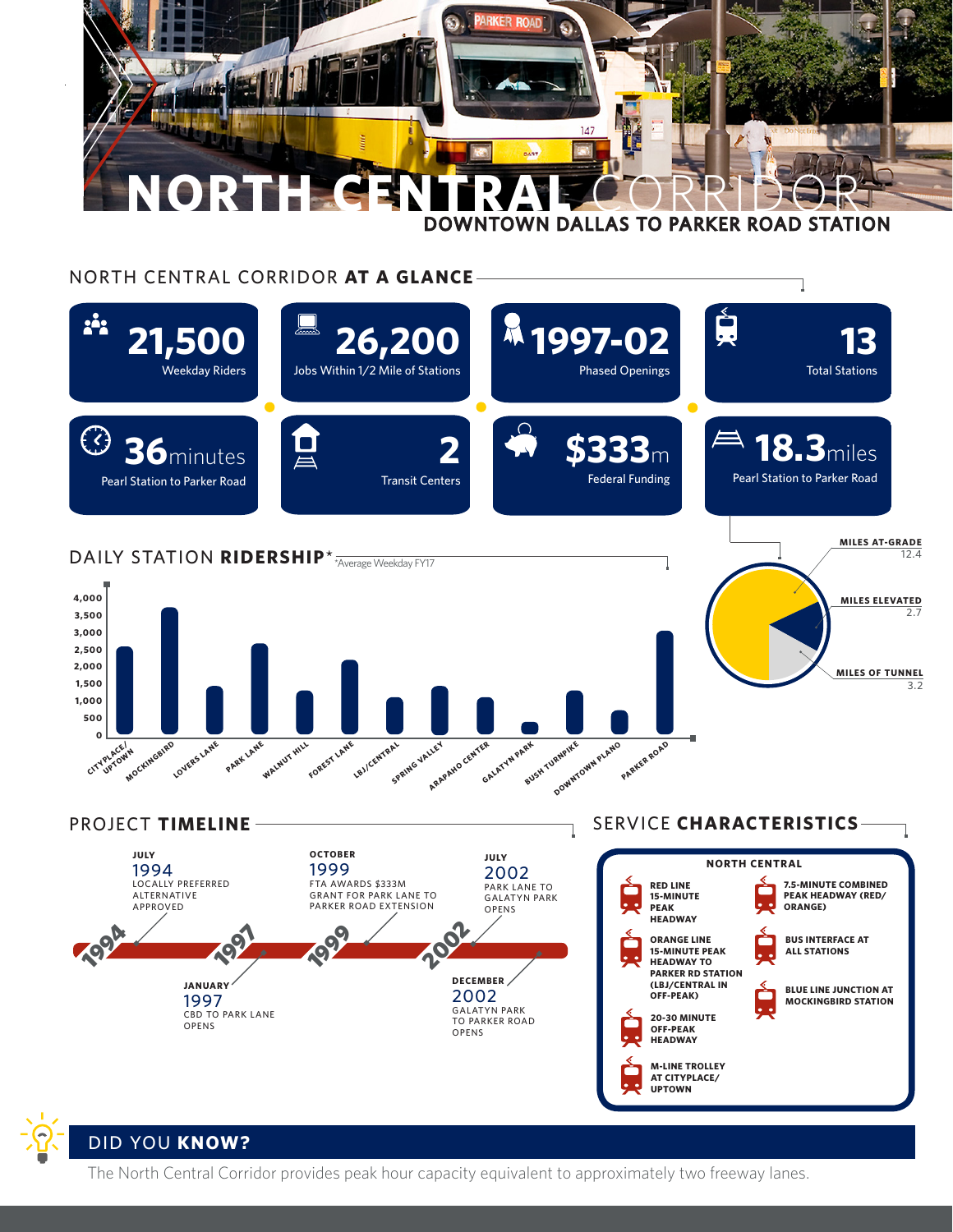

## NORTH CENTRAL CORRIDOR **AT A GLANCE**



## DID YOU **KNOW?**

The North Central Corridor provides peak hour capacity equivalent to approximately two freeway lanes.